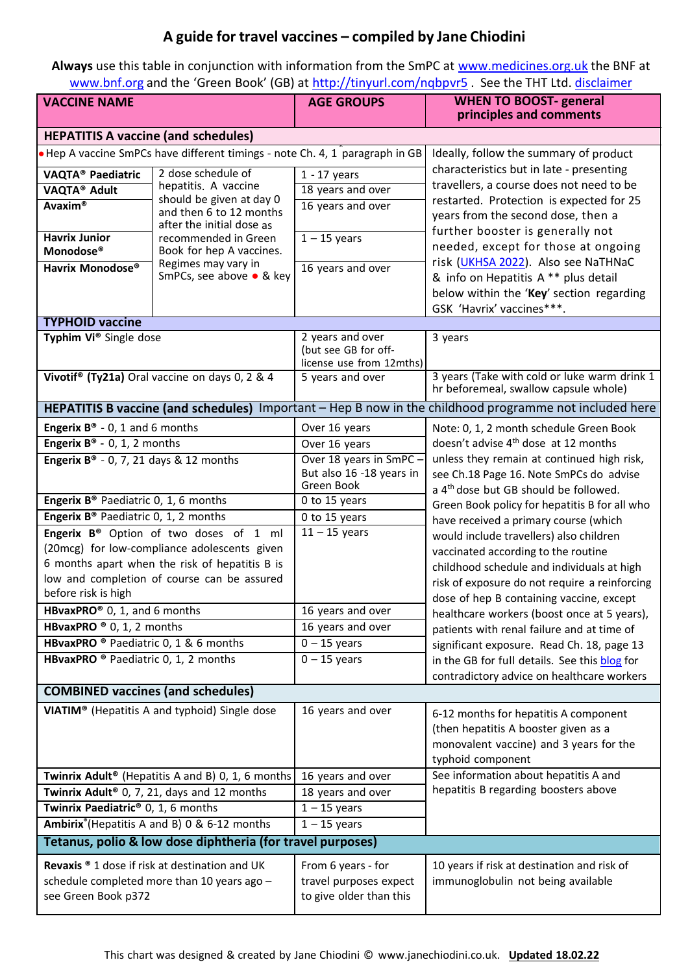## **A guide for travel vaccines – compiled by Jane Chiodini**

**Always** use this table in conjunction with information from the SmPC at [www.medicines.org.uk](http://www.medicines.org.uk/) the BNF at [www.bnf.org](http://www.bnf.org/) and the 'Green Book' (GB) at [http://tinyurl.com/nqbpv](http://tinyurl.com/nqbpvr5)r5 . See the THT Ltd. [disclaimer](https://www.janechiodini.co.uk/disclaimer/)

| <b>VACCINE NAME</b>                                                                                    |                                                                            | <b>AGE GROUPS</b>                                | <b>WHEN TO BOOST- general</b><br>principles and comments                                                                                    |  |
|--------------------------------------------------------------------------------------------------------|----------------------------------------------------------------------------|--------------------------------------------------|---------------------------------------------------------------------------------------------------------------------------------------------|--|
| <b>HEPATITIS A vaccine (and schedules)</b>                                                             |                                                                            |                                                  |                                                                                                                                             |  |
|                                                                                                        | Hep A vaccine SmPCs have different timings - note Ch. 4, 1 paragraph in GB |                                                  | Ideally, follow the summary of product                                                                                                      |  |
| VAQTA <sup>®</sup> Paediatric                                                                          | 2 dose schedule of                                                         | $1 - 17$ years                                   | characteristics but in late - presenting                                                                                                    |  |
| VAQTA® Adult                                                                                           | hepatitis. A vaccine                                                       | 18 years and over                                | travellers, a course does not need to be                                                                                                    |  |
| <b>Avaxim®</b>                                                                                         | should be given at day 0                                                   | 16 years and over                                | restarted. Protection is expected for 25                                                                                                    |  |
|                                                                                                        | and then 6 to 12 months<br>after the initial dose as                       |                                                  | years from the second dose, then a                                                                                                          |  |
| <b>Havrix Junior</b>                                                                                   | recommended in Green                                                       | $1 - 15$ years                                   | further booster is generally not                                                                                                            |  |
| Monodose®                                                                                              | Book for hep A vaccines.                                                   |                                                  | needed, except for those at ongoing                                                                                                         |  |
| Havrix Monodose®                                                                                       | Regimes may vary in<br>SmPCs, see above ● & key                            | 16 years and over                                | risk (UKHSA 2022). Also see NaTHNaC<br>& info on Hepatitis A ** plus detail                                                                 |  |
|                                                                                                        |                                                                            |                                                  | below within the 'Key' section regarding                                                                                                    |  |
|                                                                                                        |                                                                            |                                                  | GSK 'Havrix' vaccines***.                                                                                                                   |  |
| <b>TYPHOID vaccine</b>                                                                                 |                                                                            |                                                  |                                                                                                                                             |  |
| Typhim Vi® Single dose                                                                                 |                                                                            | 2 years and over                                 | 3 years                                                                                                                                     |  |
|                                                                                                        |                                                                            | (but see GB for off-<br>license use from 12mths) |                                                                                                                                             |  |
|                                                                                                        | Vivotif <sup>®</sup> (Ty21a) Oral vaccine on days 0, 2 & 4                 | 5 years and over                                 | 3 years (Take with cold or luke warm drink 1                                                                                                |  |
|                                                                                                        |                                                                            |                                                  | hr beforemeal, swallow capsule whole)                                                                                                       |  |
| HEPATITIS B vaccine (and schedules) Important - Hep B now in the childhood programme not included here |                                                                            |                                                  |                                                                                                                                             |  |
| <b>Engerix B<sup>®</sup></b> - 0, 1 and 6 months                                                       |                                                                            | Over 16 years                                    | Note: 0, 1, 2 month schedule Green Book                                                                                                     |  |
| <b>Engerix B<sup>®</sup></b> - 0, 1, 2 months                                                          |                                                                            | Over 16 years                                    | doesn't advise 4 <sup>th</sup> dose at 12 months                                                                                            |  |
| <b>Engerix B<sup>®</sup></b> - 0, 7, 21 days & 12 months                                               |                                                                            | Over 18 years in SmPC -                          | unless they remain at continued high risk,                                                                                                  |  |
|                                                                                                        |                                                                            | But also 16 -18 years in<br>Green Book           | see Ch.18 Page 16. Note SmPCs do advise                                                                                                     |  |
| <b>Engerix B<sup>®</sup></b> Paediatric 0, 1, 6 months                                                 |                                                                            | 0 to 15 years                                    | a 4 <sup>th</sup> dose but GB should be followed.<br>Green Book policy for hepatitis B for all who<br>have received a primary course (which |  |
| Engerix B <sup>®</sup> Paediatric 0, 1, 2 months                                                       |                                                                            | 0 to 15 years                                    |                                                                                                                                             |  |
| Engerix B® Option of two doses of 1 ml                                                                 |                                                                            | $\overline{11}$ – 15 years                       | would include travellers) also children                                                                                                     |  |
| (20mcg) for low-compliance adolescents given                                                           |                                                                            |                                                  | vaccinated according to the routine                                                                                                         |  |
| 6 months apart when the risk of hepatitis B is                                                         |                                                                            |                                                  | childhood schedule and individuals at high                                                                                                  |  |
| low and completion of course can be assured                                                            |                                                                            |                                                  | risk of exposure do not require a reinforcing                                                                                               |  |
| before risk is high                                                                                    |                                                                            |                                                  | dose of hep B containing vaccine, except                                                                                                    |  |
| HBvaxPRO® 0, 1, and 6 months                                                                           |                                                                            | 16 years and over                                | healthcare workers (boost once at 5 years),                                                                                                 |  |
| HBvaxPRO $\degree$ 0, 1, 2 months                                                                      |                                                                            | 16 years and over                                | patients with renal failure and at time of                                                                                                  |  |
| HBvaxPRO <sup>®</sup> Paediatric 0, 1 & 6 months                                                       |                                                                            | $0 - 15$ years                                   | significant exposure. Read Ch. 18, page 13                                                                                                  |  |
| HBvaxPRO ® Paediatric 0, 1, 2 months                                                                   |                                                                            | $0 - 15$ years                                   | in the GB for full details. See this blog for                                                                                               |  |
|                                                                                                        |                                                                            |                                                  | contradictory advice on healthcare workers                                                                                                  |  |
| <b>COMBINED vaccines (and schedules)</b>                                                               |                                                                            |                                                  |                                                                                                                                             |  |
|                                                                                                        | VIATIM <sup>®</sup> (Hepatitis A and typhoid) Single dose                  | 16 years and over                                | 6-12 months for hepatitis A component                                                                                                       |  |
|                                                                                                        |                                                                            |                                                  | (then hepatitis A booster given as a                                                                                                        |  |
|                                                                                                        |                                                                            |                                                  | monovalent vaccine) and 3 years for the                                                                                                     |  |
|                                                                                                        |                                                                            |                                                  | typhoid component                                                                                                                           |  |
| Twinrix Adult <sup>®</sup> (Hepatitis A and B) 0, 1, 6 months                                          |                                                                            | 16 years and over                                | See information about hepatitis A and                                                                                                       |  |
| Twinrix Adult <sup>®</sup> 0, 7, 21, days and 12 months                                                |                                                                            | 18 years and over                                | hepatitis B regarding boosters above                                                                                                        |  |
| Twinrix Paediatric® 0, 1, 6 months                                                                     |                                                                            | $1 - 15$ years                                   |                                                                                                                                             |  |
|                                                                                                        | Ambirix <sup>®</sup> (Hepatitis A and B) 0 & 6-12 months                   | $1 - 15$ years                                   |                                                                                                                                             |  |
| Tetanus, polio & low dose diphtheria (for travel purposes)                                             |                                                                            |                                                  |                                                                                                                                             |  |
|                                                                                                        | Revaxis ® 1 dose if risk at destination and UK                             | From 6 years - for                               | 10 years if risk at destination and risk of                                                                                                 |  |
| schedule completed more than 10 years ago -                                                            |                                                                            | travel purposes expect                           | immunoglobulin not being available                                                                                                          |  |
| see Green Book p372                                                                                    |                                                                            | to give older than this                          |                                                                                                                                             |  |